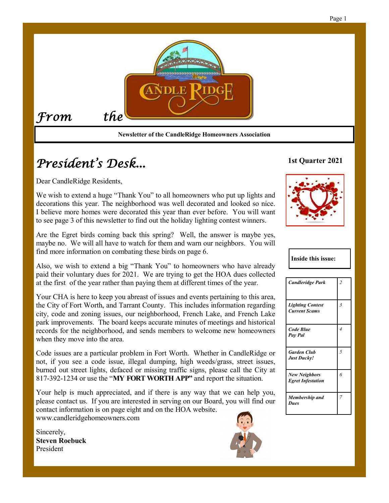

# *President's Desk...*

Dear CandleRidge Residents,

We wish to extend a huge "Thank You" to all homeowners who put up lights and decorations this year. The neighborhood was well decorated and looked so nice. I believe more homes were decorated this year than ever before. You will want to see page 3 of this newsletter to find out the holiday lighting contest winners.

Are the Egret birds coming back this spring? Well, the answer is maybe yes, maybe no. We will all have to watch for them and warn our neighbors. You will find more information on combating these birds on page 6.

Also, we wish to extend a big "Thank You" to homeowners who have already paid their voluntary dues for 2021. We are trying to get the HOA dues collected at the first of the year rather than paying them at different times of the year.

Your CHA is here to keep you abreast of issues and events pertaining to this area, the City of Fort Worth, and Tarrant County. This includes information regarding city, code and zoning issues, our neighborhood, French Lake, and French Lake park improvements. The board keeps accurate minutes of meetings and historical records for the neighborhood, and sends members to welcome new homeowners when they move into the area.

Code issues are a particular problem in Fort Worth. Whether in CandleRidge or not, if you see a code issue, illegal dumping, high weeds/grass, street issues, burned out street lights, defaced or missing traffic signs, please call the City at 817-392-1234 or use the "**MY FORT WORTH APP"** and report the situation.

Your help is much appreciated, and if there is any way that we can help you, please contact us. If you are interested in serving on our Board, you will find our contact information is on page eight and on the HOA website. www.candleridgehomeowners.com

Sincerely, **Steven Roebuck** President



### **1st Quarter 2021**



#### **Inside this issue:**

| <b>Candleridge Park</b>                          | $\overline{c}$ |
|--------------------------------------------------|----------------|
| <b>Lighting Contest</b><br><b>Current Scams</b>  | $\overline{3}$ |
| Code Blue<br>Pay Pal                             | $\overline{4}$ |
| <b>Garden Club</b><br>Just Ducky!                | 5              |
| <b>New Neighbors</b><br><b>Egret Infestation</b> | 6              |
| Membership and<br><b>Dues</b>                    | $\overline{7}$ |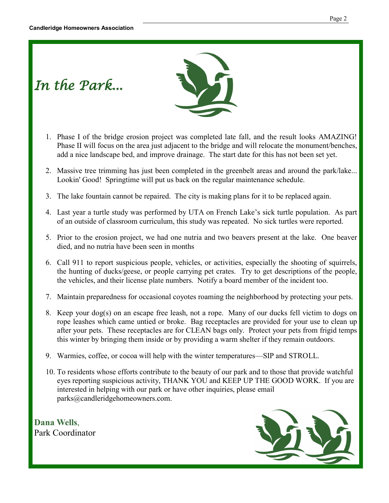*In the Park...*



- 1. Phase I of the bridge erosion project was completed late fall, and the result looks AMAZING! Phase II will focus on the area just adjacent to the bridge and will relocate the monument/benches, add a nice landscape bed, and improve drainage. The start date for this has not been set yet.
- 2. Massive tree trimming has just been completed in the greenbelt areas and around the park/lake... Lookin' Good! Springtime will put us back on the regular maintenance schedule.
- 3. The lake fountain cannot be repaired. The city is making plans for it to be replaced again.
- 4. Last year a turtle study was performed by UTA on French Lake's sick turtle population. As part of an outside of classroom curriculum, this study was repeated. No sick turtles were reported.
- 5. Prior to the erosion project, we had one nutria and two beavers present at the lake. One beaver died, and no nutria have been seen in months
- 6. Call 911 to report suspicious people, vehicles, or activities, especially the shooting of squirrels, the hunting of ducks/geese, or people carrying pet crates. Try to get descriptions of the people, the vehicles, and their license plate numbers. Notify a board member of the incident too.
- 7. Maintain preparedness for occasional coyotes roaming the neighborhood by protecting your pets.
- 8. Keep your dog(s) on an escape free leash, not a rope. Many of our ducks fell victim to dogs on rope leashes which came untied or broke. Bag receptacles are provided for your use to clean up after your pets. These receptacles are for CLEAN bags only. Protect your pets from frigid temps this winter by bringing them inside or by providing a warm shelter if they remain outdoors.
- 9. Warmies, coffee, or cocoa will help with the winter temperatures—SIP and STROLL.
- 10. To residents whose efforts contribute to the beauty of our park and to those that provide watchful eyes reporting suspicious activity, THANK YOU and KEEP UP THE GOOD WORK. If you are interested in helping with our park or have other inquiries, please email parks@candleridgehomeowners.com.

**Dana Wells**, Park Coordinator

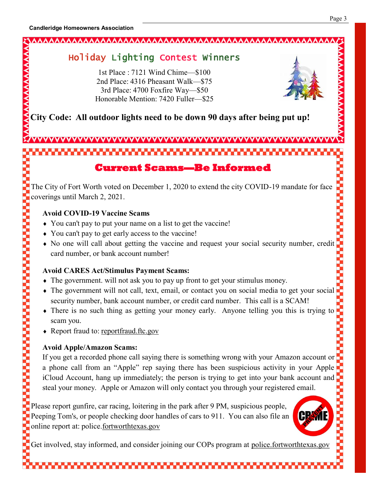**YYYYYYYYYYY** 

**2000 - 2000 - 2000 - 2000 - 2000 - 2000 - 2000 - 2000 - 2000 - 2000 - 2000 - 2000 - 2000 - 2000 - 2000 - 2000** 

# 

# Holiday Lighting Contest Winners

1st Place : 7121 Wind Chime—\$100 2nd Place: 4316 Pheasant Walk—\$75 3rd Place: 4700 Foxfire Way—\$50 Honorable Mention: 7420 Fuller—\$25



A

**City Code: All outdoor lights need to be down 90 days after being put up!** 

# **Current Scams—Be Informed**

The City of Fort Worth voted on December 1, 2020 to extend the city COVID-19 mandate for face coverings until March 2, 2021.

### **Avoid COVID-19 Vaccine Scams**

- You can't pay to put your name on a list to get the vaccine!
- You can't pay to get early access to the vaccine!
- No one will call about getting the vaccine and request your social security number, credit card number, or bank account number!

### **Avoid CARES Act/Stimulus Payment Scams:**

- The government. will not ask you to pay up front to get your stimulus money.
- The government will not call, text, email, or contact you on social media to get your social security number, bank account number, or credit card number. This call is a SCAM!
- There is no such thing as getting your money early. Anyone telling you this is trying to scam you.
- Report fraud to: reportfraud.ftc.gov

### **Avoid Apple/Amazon Scams:**

If you get a recorded phone call saying there is something wrong with your Amazon account or a phone call from an "Apple" rep saying there has been suspicious activity in your Apple iCloud Account, hang up immediately; the person is trying to get into your bank account and steal your money. Apple or Amazon will only contact you through your registered email.

Please report gunfire, car racing, loitering in the park after 9 PM, suspicious people, Peeping Tom's, or people checking door handles of cars to 911. You can also file an online report at: police.fortworthtexas.gov

Get involved, stay informed, and consider joining our COPs program at police.fortworthtexas.gov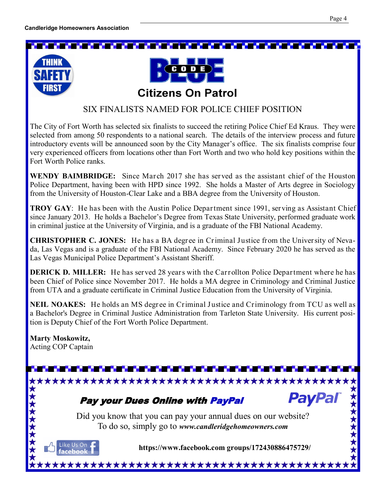#### <u> Martin Santan Martin Santan Santan Sa</u> ta 1999 yang kalendar Sebagai Pada Sebagai Pada Sebagai Pada Sebagai Pada Sebagai Pada Sebagai Pada Sebagai Pa





### SIX FINALISTS NAMED FOR POLICE CHIEF POSITION

The City of Fort Worth has selected six finalists to succeed the retiring Police Chief Ed Kraus. They were selected from among 50 respondents to a national search. The details of the interview process and future introductory events will be announced soon by the City Manager's office. The six finalists comprise four very experienced officers from locations other than Fort Worth and two who hold key positions within the Fort Worth Police ranks.

**WENDY BAIMBRIDGE:** Since March 2017 she has served as the assistant chief of the Houston Police Department, having been with HPD since 1992. She holds a Master of Arts degree in Sociology from the University of Houston-Clear Lake and a BBA degree from the University of Houston.

**TROY GAY:** He has been with the Austin Police Department since 1991, serving as Assistant Chief since January 2013. He holds a Bachelor's Degree from Texas State University, performed graduate work in criminal justice at the University of Virginia, and is a graduate of the FBI National Academy.

**CHRISTOPHER C. JONES:** He has a BA degree in Criminal Justice from the University of Nevada, Las Vegas and is a graduate of the FBI National Academy. Since February 2020 he has served as the Las Vegas Municipal Police Department's Assistant Sheriff.

**DERICK D. MILLER:** He has served 28 years with the Carrollton Police Department where he has been Chief of Police since November 2017. He holds a MA degree in Criminology and Criminal Justice from UTA and a graduate certificate in Criminal Justice Education from the University of Virginia.

NEIL NOAKES: He holds an MS degree in Criminal Justice and Criminology from TCU as well as a Bachelor's Degree in Criminal Justice Administration from Tarleton State University. His current position is Deputy Chief of the Fort Worth Police Department.

## **Marty Moskowitz,**

Acting COP Captain

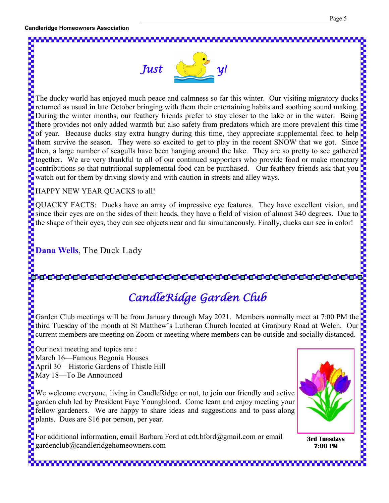



returned as usual in late October bringing with them their entertaining habits and soothing sound making. During the winter months, our feathery friends prefer to stay closer to the lake or in the water. Being there provides not only added warmth but also safety from predators which are more prevalent this time of year. Because ducks stay extra hungry during this time, they appreciate supplemental feed to help them survive the season. They were so excited to get to play in the recent SNOW that we got. Since then, a large number of seagulls have been hanging around the lake. They are so pretty to see gathered together. We are very thankful to all of our continued supporters who provide food or make monetary contributions so that nutritional supplemental food can be purchased. Our feathery friends ask that you watch out for them by driving slowly and with caution in streets and alley ways.

HAPPY NEW YEAR QUACKS to all!

QUACKY FACTS: Ducks have an array of impressive eye features. They have excellent vision, and since their eyes are on the sides of their heads, they have a field of vision of almost 340 degrees. Due to the shape of their eyes, they can see objects near and far simultaneously. Finally, ducks can see in color!

**Dana Wells**, The Duck Lady

# *CandleRidge Garden Club*

third Tuesday of the month at St Matthew's Lutheran Church located at Granbury Road at Welch. Our current members are meeting on Zoom or meeting where members can be outside and socially distanced.

Our next meeting and topics are : March 16—Famous Begonia Houses April 30—Historic Gardens of Thistle Hill May 18—To Be Announced

Garden Club meetings will be from January through May 2021. Members normally meet at 7:00 PM the<br>
third Tuesday of the month at St Matthew's Lutheran Church located at Granbury Road at Welch. Our<br>
current members are meet We welcome everyone, living in CandleRidge or not, to join our friendly and active garden club led by President Faye Youngblood. Come learn and enjoy meeting your fellow gardeners. We are happy to share ideas and suggestions and to pass along plants. Dues are \$16 per person, per year.

For additional information, email Barbara Ford at cdt.bford@gmail.com or email gardenclub@candleridgehomeowners.com



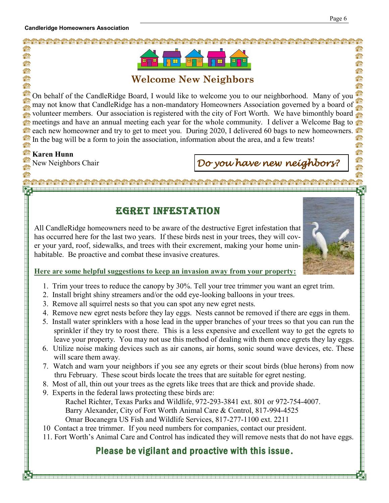

### **Welcome New Neighbors**

On behalf of the CandleRidge Board, I would like to welcome you to our neighborhood. Many of you 信命 may not know that CandleRidge has a non-mandatory Homeowners Association governed by a board of fû volunteer members. Our association is registered with the city of Fort Worth. We have bimonthly board 合命 meetings and have an annual meeting each year for the whole community. I deliver a Welcome Bag to each new homeowner and try to get to meet you. During 2020, I delivered 60 bags to new homeowners. **TO THE** 'nА In the bag will be a form to join the association, information about the area, and a few treats! 信命 命

#### e a **Karen Hunn**

合命 fô

fû ŕ

合命

fin

Ω.

нń

# New Neighbors Chair *Do you have new neighbors?*

# Egret Infestation

All CandleRidge homeowners need to be aware of the destructive Egret infestation that has occurred here for the last two years. If these birds nest in your trees, they will cover your yard, roof, sidewalks, and trees with their excrement, making your home uninhabitable. Be proactive and combat these invasive creatures.



### **Here are some helpful suggestions to keep an invasion away from your property:**

- 1. Trim your trees to reduce the canopy by 30%. Tell your tree trimmer you want an egret trim.
- 2. Install bright shiny streamers and/or the odd eye-looking balloons in your trees.
- 3. Remove all squirrel nests so that you can spot any new egret nests.
- 4. Remove new egret nests before they lay eggs. Nests cannot be removed if there are eggs in them.
- 5. Install water sprinklers with a hose lead in the upper branches of your trees so that you can run the sprinkler if they try to roost there. This is a less expensive and excellent way to get the egrets to leave your property. You may not use this method of dealing with them once egrets they lay eggs.
- 6. Utilize noise making devices such as air canons, air horns, sonic sound wave devices, etc. These will scare them away.
- 7. Watch and warn your neighbors if you see any egrets or their scout birds (blue herons) from now thru February. These scout birds locate the trees that are suitable for egret nesting.
- 8. Most of all, thin out your trees as the egrets like trees that are thick and provide shade.
- 9. Experts in the federal laws protecting these birds are: Rachel Richter, Texas Parks and Wildlife, 972-293-3841 ext. 801 or 972-754-4007. Barry Alexander, City of Fort Worth Animal Care & Control, 817-994-4525 Omar Bocanegra US Fish and Wildlife Services, 817-277-1100 ext. 2211
- 10 Contact a tree trimmer. If you need numbers for companies, contact our president.
- 11. Fort Worth's Animal Care and Control has indicated they will remove nests that do not have eggs.

# Please be vigilant and proactive with this issue.

fû

論

命 論

論

**Ta**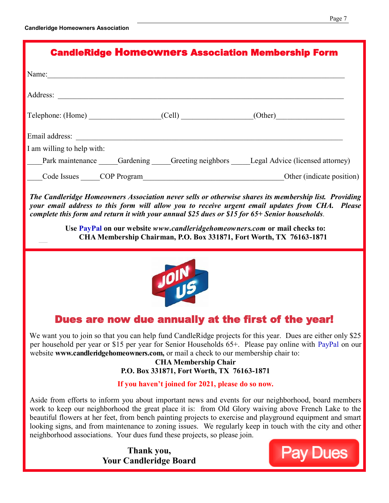**—**

| <b>CandleRidge Homeowners Association Membership Form</b> |  |  |                                                                                |  |
|-----------------------------------------------------------|--|--|--------------------------------------------------------------------------------|--|
| Name: $\qquad \qquad \qquad$                              |  |  |                                                                                |  |
|                                                           |  |  |                                                                                |  |
|                                                           |  |  | Telephone: (Home) (Cell) (Cell) (Other)                                        |  |
| Email address:                                            |  |  |                                                                                |  |
| I am willing to help with:                                |  |  |                                                                                |  |
|                                                           |  |  | Park maintenance Gardening Greeting neighbors Legal Advice (licensed attorney) |  |
|                                                           |  |  | Code Issues COP Program COP Other (indicate position)                          |  |

*The Candleridge Homeowners Association never sells or otherwise shares its membership list. Providing your email address to this form will allow you to receive urgent email updates from CHA. Please complete this form and return it with your annual \$25 dues or \$15 for 65+ Senior households.* 

> **Use PayPal on our website** *www.candleridgehomeowners.com* **or mail checks to: CHA Membership Chairman, P.O. Box 331871, Fort Worth, TX 76163-1871**



# Dues are now due annually at the first of the year!

We want you to join so that you can help fund CandleRidge projects for this year. Dues are either only \$25 per household per year or \$15 per year for Senior Households 65+. Please pay online with PayPal on our website **www.candleridgehomeowners.com,** or mail a check to our membership chair to:

**CHA Membership Chair P.O. Box 331871, Fort Worth, TX 76163-1871**

### **If you haven't joined for 2021, please do so now.**

Aside from efforts to inform you about important news and events for our neighborhood, board members work to keep our neighborhood the great place it is: from Old Glory waiving above French Lake to the beautiful flowers at her feet, from bench painting projects to exercise and playground equipment and smart looking signs, and from maintenance to zoning issues. We regularly keep in touch with the city and other neighborhood associations. Your dues fund these projects, so please join.

> **Thank you, Your Candleridge Board**